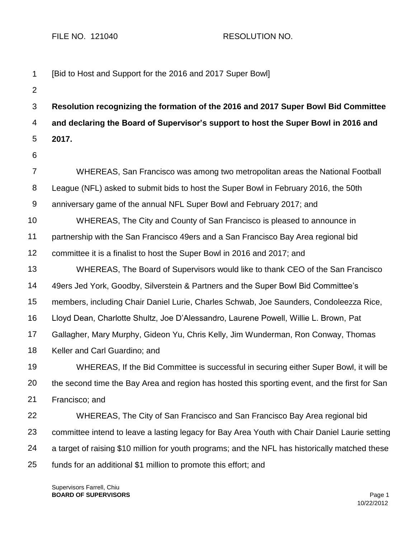FILE NO. 121040 RESOLUTION NO.

| 1                | [Bid to Host and Support for the 2016 and 2017 Super Bowl]                                      |
|------------------|-------------------------------------------------------------------------------------------------|
| $\overline{2}$   |                                                                                                 |
| 3                | Resolution recognizing the formation of the 2016 and 2017 Super Bowl Bid Committee              |
| 4                | and declaring the Board of Supervisor's support to host the Super Bowl in 2016 and              |
| 5                | 2017.                                                                                           |
| 6                |                                                                                                 |
| 7                | WHEREAS, San Francisco was among two metropolitan areas the National Football                   |
| 8                | League (NFL) asked to submit bids to host the Super Bowl in February 2016, the 50th             |
| $\boldsymbol{9}$ | anniversary game of the annual NFL Super Bowl and February 2017; and                            |
| 10               | WHEREAS, The City and County of San Francisco is pleased to announce in                         |
| 11               | partnership with the San Francisco 49ers and a San Francisco Bay Area regional bid              |
| 12               | committee it is a finalist to host the Super Bowl in 2016 and 2017; and                         |
| 13               | WHEREAS, The Board of Supervisors would like to thank CEO of the San Francisco                  |
| 14               | 49ers Jed York, Goodby, Silverstein & Partners and the Super Bowl Bid Committee's               |
| 15               | members, including Chair Daniel Lurie, Charles Schwab, Joe Saunders, Condoleezza Rice,          |
| 16               | Lloyd Dean, Charlotte Shultz, Joe D'Alessandro, Laurene Powell, Willie L. Brown, Pat            |
| 17               | Gallagher, Mary Murphy, Gideon Yu, Chris Kelly, Jim Wunderman, Ron Conway, Thomas               |
| 18               | Keller and Carl Guardino; and                                                                   |
| 19               | WHEREAS, If the Bid Committee is successful in securing either Super Bowl, it will be           |
| 20               | the second time the Bay Area and region has hosted this sporting event, and the first for San   |
| 21               | Francisco; and                                                                                  |
| 22               | WHEREAS, The City of San Francisco and San Francisco Bay Area regional bid                      |
| 23               | committee intend to leave a lasting legacy for Bay Area Youth with Chair Daniel Laurie setting  |
| 24               | a target of raising \$10 million for youth programs; and the NFL has historically matched these |
| 25               | funds for an additional \$1 million to promote this effort; and                                 |

Supervisors Farrell, Chiu **BOARD OF SUPERVISORS** Page 1